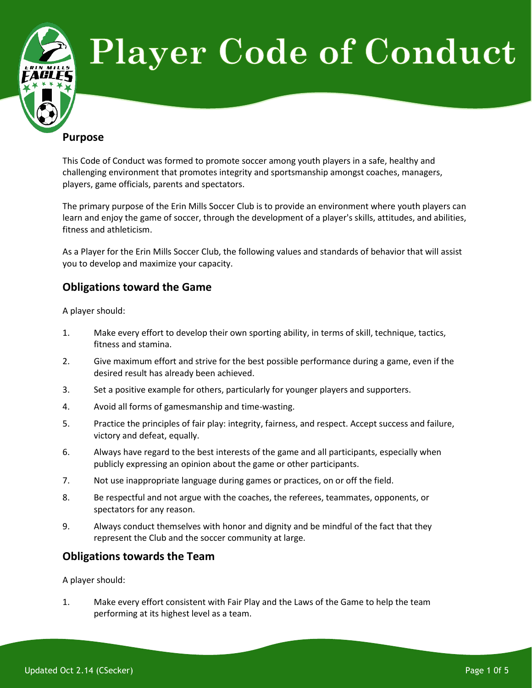

This Code of Conduct was formed to promote soccer among youth players in a safe, healthy and challenging environment that promotes integrity and sportsmanship amongst coaches, managers, players, game officials, parents and spectators.

The primary purpose of the Erin Mills Soccer Club is to provide an environment where youth players can learn and enjoy the game of soccer, through the development of a player's skills, attitudes, and abilities, fitness and athleticism.

As a Player for the Erin Mills Soccer Club, the following values and standards of behavior that will assist you to develop and maximize your capacity.

# **Obligations toward the Game**

A player should:

- 1. Make every effort to develop their own sporting ability, in terms of skill, technique, tactics, fitness and stamina.
- 2. Give maximum effort and strive for the best possible performance during a game, even if the desired result has already been achieved.
- 3. Set a positive example for others, particularly for younger players and supporters.
- 4. Avoid all forms of gamesmanship and time-wasting.
- 5. Practice the principles of fair play: integrity, fairness, and respect. Accept success and failure, victory and defeat, equally.
- 6. Always have regard to the best interests of the game and all participants, especially when publicly expressing an opinion about the game or other participants.
- 7. Not use inappropriate language during games or practices, on or off the field.
- 8. Be respectful and not argue with the coaches, the referees, teammates, opponents, or spectators for any reason.
- 9. Always conduct themselves with honor and dignity and be mindful of the fact that they represent the Club and the soccer community at large.

## **Obligations towards the Team**

A player should:

1. Make every effort consistent with Fair Play and the Laws of the Game to help the team performing at its highest level as a team.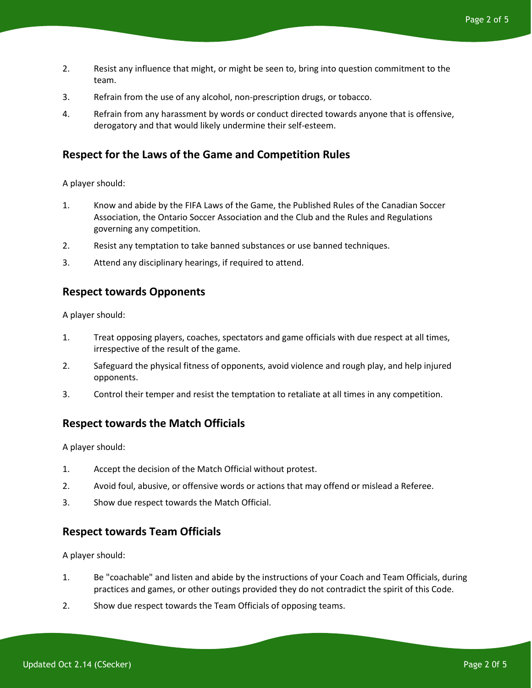- 2. Resist any influence that might, or might be seen to, bring into question commitment to the team.
- 3. Refrain from the use of any alcohol, non-prescription drugs, or tobacco.
- 4. Refrain from any harassment by words or conduct directed towards anyone that is offensive, derogatory and that would likely undermine their self-esteem.

### **Respect for the Laws of the Game and Competition Rules**

A player should:

- 1. Know and abide by the FIFA Laws of the Game, the Published Rules of the Canadian Soccer Association, the Ontario Soccer Association and the Club and the Rules and Regulations governing any competition.
- 2. Resist any temptation to take banned substances or use banned techniques.
- 3. Attend any disciplinary hearings, if required to attend.

#### **Respect towards Opponents**

A player should:

- 1. Treat opposing players, coaches, spectators and game officials with due respect at all times, irrespective of the result of the game.
- 2. Safeguard the physical fitness of opponents, avoid violence and rough play, and help injured opponents.
- 3. Control their temper and resist the temptation to retaliate at all times in any competition.

#### **Respect towards the Match Officials**

A player should:

- 1. Accept the decision of the Match Official without protest.
- 2. Avoid foul, abusive, or offensive words or actions that may offend or mislead a Referee.
- 3. Show due respect towards the Match Official.

#### **Respect towards Team Officials**

A player should:

- 1. Be "coachable" and listen and abide by the instructions of your Coach and Team Officials, during practices and games, or other outings provided they do not contradict the spirit of this Code.
- 2. Show due respect towards the Team Officials of opposing teams.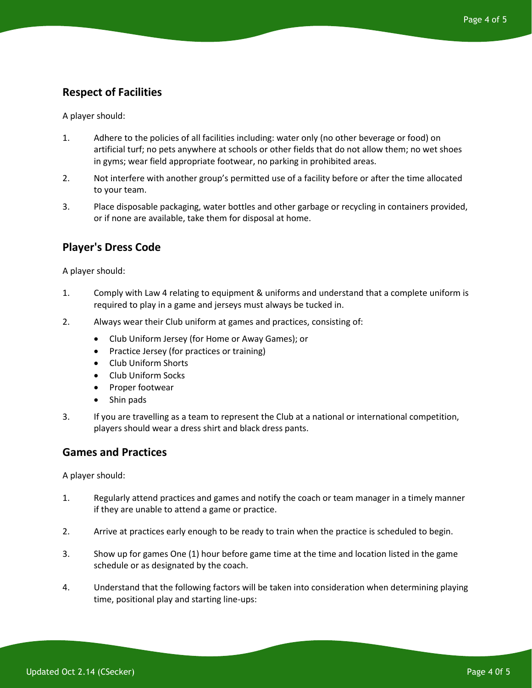# **Respect of Facilities**

A player should:

- 1. Adhere to the policies of all facilities including: water only (no other beverage or food) on artificial turf; no pets anywhere at schools or other fields that do not allow them; no wet shoes in gyms; wear field appropriate footwear, no parking in prohibited areas.
- 2. Not interfere with another group's permitted use of a facility before or after the time allocated to your team.
- 3. Place disposable packaging, water bottles and other garbage or recycling in containers provided, or if none are available, take them for disposal at home.

## **Player's Dress Code**

A player should:

- 1. Comply with Law 4 relating to equipment & uniforms and understand that a complete uniform is required to play in a game and jerseys must always be tucked in.
- 2. Always wear their Club uniform at games and practices, consisting of:
	- Club Uniform Jersey (for Home or Away Games); or
	- Practice Jersey (for practices or training)
	- Club Uniform Shorts
	- Club Uniform Socks
	- Proper footwear
	- Shin pads
- 3. If you are travelling as a team to represent the Club at a national or international competition, players should wear a dress shirt and black dress pants.

#### **Games and Practices**

A player should:

- 1. Regularly attend practices and games and notify the coach or team manager in a timely manner if they are unable to attend a game or practice.
- 2. Arrive at practices early enough to be ready to train when the practice is scheduled to begin.
- 3. Show up for games One (1) hour before game time at the time and location listed in the game schedule or as designated by the coach.
- 4. Understand that the following factors will be taken into consideration when determining playing time, positional play and starting line-ups: